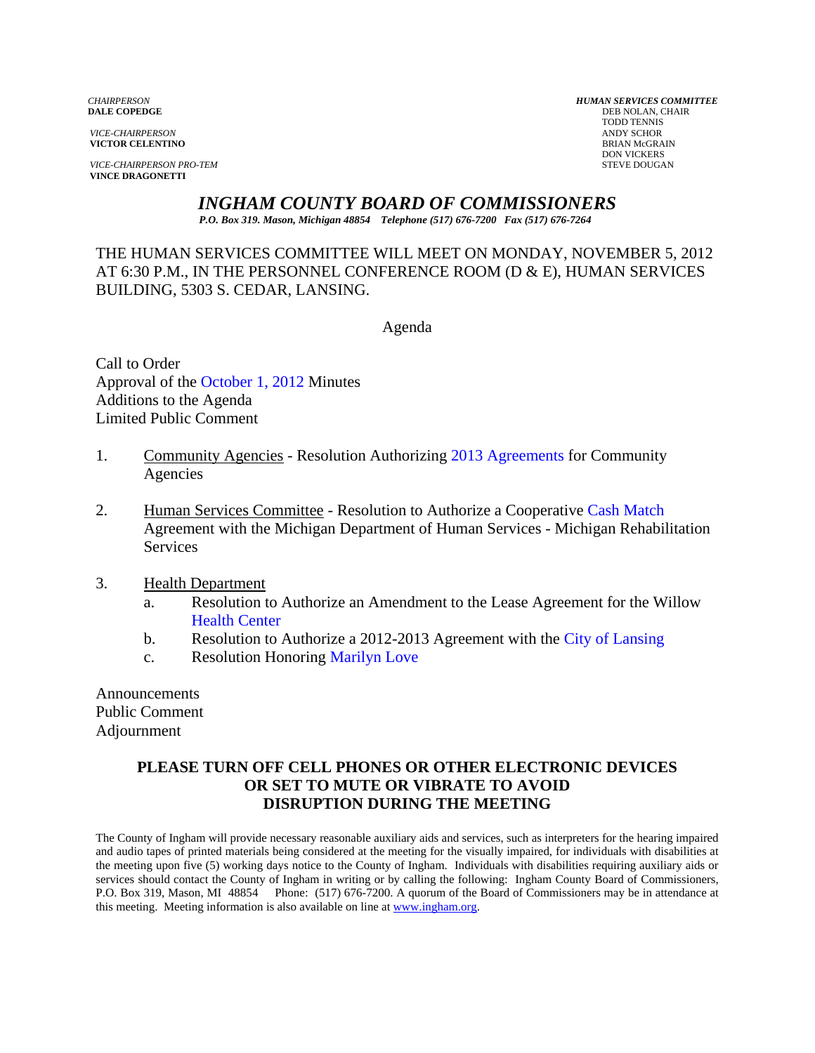**VICTOR CELENTINO** 

**VICE-CHAIRPERSON PRO-TEM** STEVE DOUGAN **VINCE DRAGONETTI** 

*CHAIRPERSON HUMAN SERVICES COMMITTEE* **DEB NOLAN, CHAIR**  TODD TENNIS *VICE-CHAIRPERSON* ANDY SCHOR DON VICKERS

*INGHAM COUNTY BOARD OF COMMISSIONERS* 

*P.O. Box 319. Mason, Michigan 48854 Telephone (517) 676-7200 Fax (517) 676-7264*

THE HUMAN SERVICES COMMITTEE WILL MEET ON MONDAY, NOVEMBER 5, 2012 AT 6:30 P.M., IN THE PERSONNEL CONFERENCE ROOM (D & E), HUMAN SERVICES BUILDING, 5303 S. CEDAR, LANSING.

Agenda

Call to Order Approval of t[he October 1, 2012 Minutes](#page-1-0)  Additions to the Agenda Limited Public Comment

- 1. Community Agencies Resolution Authorizi[ng 2013 Agreements for Co](#page-7-0)mmunity Agencies
- 2. Human Services Committee Resolution to Authorize a Cooperative Cash Match Agreement with the Michigan Department of Human Services - M[ichigan Rehabilitation](#page-14-0) Services

## 3. Health Department

- a. [Resolution to Au](#page-16-0)thorize an Amendment to the Lease Agreement for the Willow Health Center
- b. Resolution to Authorize a 2012-2013 Agreement with [the City of Lansing](#page-18-0)
- c. Resolution Honori[ng Marilyn Love](#page-20-0)

Announcements Public Comment Adjournment

# **PLEASE TURN OFF CELL PHONES OR OTHER ELECTRONIC DEVICES OR SET TO MUTE OR VIBRATE TO AVOID DISRUPTION DURING THE MEETING**

The County of Ingham will provide necessary reasonable auxiliary aids and services, such as interpreters for the hearing impaired and audio tapes of printed materials being considered at the meeting for the visually impaired, for individuals with disabilities at the meeting upon five (5) working days notice to the County of Ingham. Individuals with disabilities requiring auxiliary aids or services should contact the County of Ingham in writing or by calling the following: Ingham County Board of Commissioners, P.O. Box 319, Mason, MI 48854 Phone: (517) 676-7200. A quorum of the Board of Commissioners may be in attendance at this meeting. Meeting information is also available on line at www.ingham.org.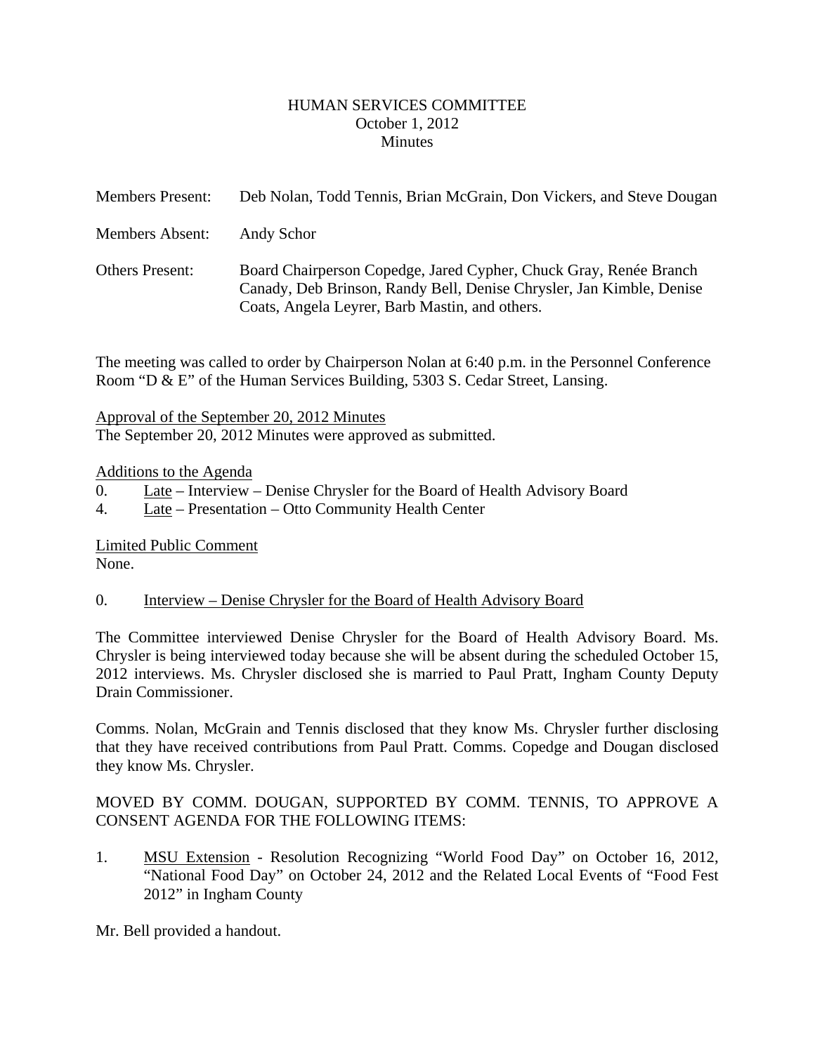## HUMAN SERVICES COMMITTEE October 1, 2012 **Minutes**

<span id="page-1-0"></span>

| <b>Members Present:</b> | Deb Nolan, Todd Tennis, Brian McGrain, Don Vickers, and Steve Dougan                                                                                                                        |
|-------------------------|---------------------------------------------------------------------------------------------------------------------------------------------------------------------------------------------|
| Members Absent:         | Andy Schor                                                                                                                                                                                  |
| <b>Others Present:</b>  | Board Chairperson Copedge, Jared Cypher, Chuck Gray, Renée Branch<br>Canady, Deb Brinson, Randy Bell, Denise Chrysler, Jan Kimble, Denise<br>Coats, Angela Leyrer, Barb Mastin, and others. |

The meeting was called to order by Chairperson Nolan at 6:40 p.m. in the Personnel Conference Room "D & E" of the Human Services Building, 5303 S. Cedar Street, Lansing.

Approval of the September 20, 2012 Minutes The September 20, 2012 Minutes were approved as submitted.

## Additions to the Agenda

- 0. Late Interview Denise Chrysler for the Board of Health Advisory Board
- 4. Late Presentation Otto Community Health Center

Limited Public Comment None.

## 0. Interview – Denise Chrysler for the Board of Health Advisory Board

The Committee interviewed Denise Chrysler for the Board of Health Advisory Board. Ms. Chrysler is being interviewed today because she will be absent during the scheduled October 15, 2012 interviews. Ms. Chrysler disclosed she is married to Paul Pratt, Ingham County Deputy Drain Commissioner.

Comms. Nolan, McGrain and Tennis disclosed that they know Ms. Chrysler further disclosing that they have received contributions from Paul Pratt. Comms. Copedge and Dougan disclosed they know Ms. Chrysler.

# MOVED BY COMM. DOUGAN, SUPPORTED BY COMM. TENNIS, TO APPROVE A CONSENT AGENDA FOR THE FOLLOWING ITEMS:

1. MSU Extension - Resolution Recognizing "World Food Day" on October 16, 2012, "National Food Day" on October 24, 2012 and the Related Local Events of "Food Fest 2012" in Ingham County

Mr. Bell provided a handout.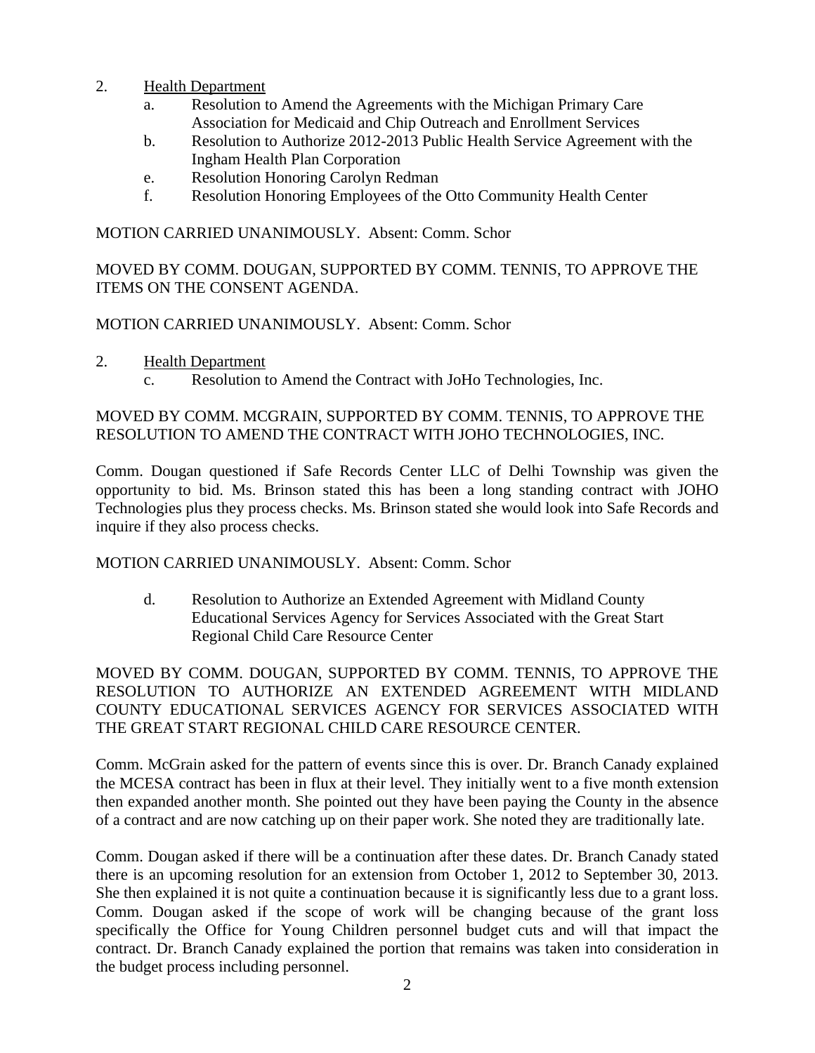- 2. Health Department
	- a. Resolution to Amend the Agreements with the Michigan Primary Care Association for Medicaid and Chip Outreach and Enrollment Services
	- b. Resolution to Authorize 2012-2013 Public Health Service Agreement with the Ingham Health Plan Corporation
	- e. Resolution Honoring Carolyn Redman
	- f. Resolution Honoring Employees of the Otto Community Health Center

MOTION CARRIED UNANIMOUSLY. Absent: Comm. Schor

MOVED BY COMM. DOUGAN, SUPPORTED BY COMM. TENNIS, TO APPROVE THE ITEMS ON THE CONSENT AGENDA.

MOTION CARRIED UNANIMOUSLY. Absent: Comm. Schor

- 2. Health Department
	- c. Resolution to Amend the Contract with JoHo Technologies, Inc.

# MOVED BY COMM. MCGRAIN, SUPPORTED BY COMM. TENNIS, TO APPROVE THE RESOLUTION TO AMEND THE CONTRACT WITH JOHO TECHNOLOGIES, INC.

Comm. Dougan questioned if Safe Records Center LLC of Delhi Township was given the opportunity to bid. Ms. Brinson stated this has been a long standing contract with JOHO Technologies plus they process checks. Ms. Brinson stated she would look into Safe Records and inquire if they also process checks.

MOTION CARRIED UNANIMOUSLY. Absent: Comm. Schor

d. Resolution to Authorize an Extended Agreement with Midland County Educational Services Agency for Services Associated with the Great Start Regional Child Care Resource Center

MOVED BY COMM. DOUGAN, SUPPORTED BY COMM. TENNIS, TO APPROVE THE RESOLUTION TO AUTHORIZE AN EXTENDED AGREEMENT WITH MIDLAND COUNTY EDUCATIONAL SERVICES AGENCY FOR SERVICES ASSOCIATED WITH THE GREAT START REGIONAL CHILD CARE RESOURCE CENTER.

Comm. McGrain asked for the pattern of events since this is over. Dr. Branch Canady explained the MCESA contract has been in flux at their level. They initially went to a five month extension then expanded another month. She pointed out they have been paying the County in the absence of a contract and are now catching up on their paper work. She noted they are traditionally late.

Comm. Dougan asked if there will be a continuation after these dates. Dr. Branch Canady stated there is an upcoming resolution for an extension from October 1, 2012 to September 30, 2013. She then explained it is not quite a continuation because it is significantly less due to a grant loss. Comm. Dougan asked if the scope of work will be changing because of the grant loss specifically the Office for Young Children personnel budget cuts and will that impact the contract. Dr. Branch Canady explained the portion that remains was taken into consideration in the budget process including personnel.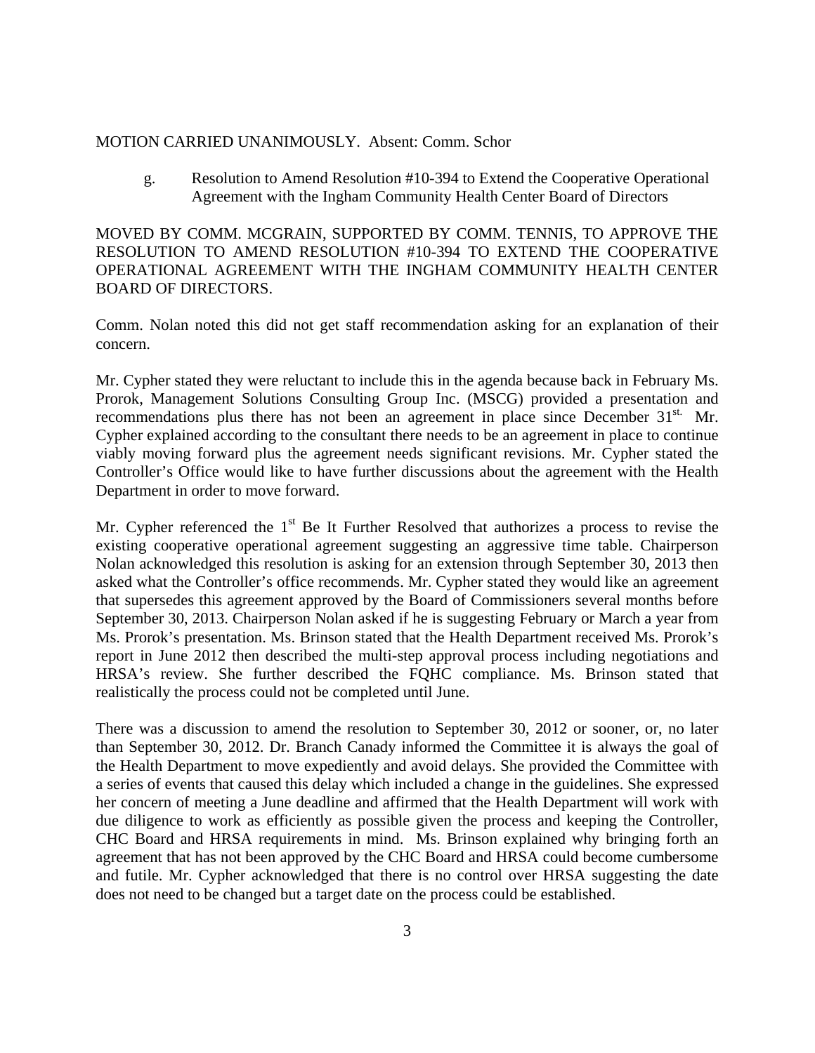#### MOTION CARRIED UNANIMOUSLY. Absent: Comm. Schor

g. Resolution to Amend Resolution #10-394 to Extend the Cooperative Operational Agreement with the Ingham Community Health Center Board of Directors

MOVED BY COMM. MCGRAIN, SUPPORTED BY COMM. TENNIS, TO APPROVE THE RESOLUTION TO AMEND RESOLUTION #10-394 TO EXTEND THE COOPERATIVE OPERATIONAL AGREEMENT WITH THE INGHAM COMMUNITY HEALTH CENTER BOARD OF DIRECTORS.

Comm. Nolan noted this did not get staff recommendation asking for an explanation of their concern.

Mr. Cypher stated they were reluctant to include this in the agenda because back in February Ms. Prorok, Management Solutions Consulting Group Inc. (MSCG) provided a presentation and recommendations plus there has not been an agreement in place since December  $31<sup>st</sup>$ . Mr. Cypher explained according to the consultant there needs to be an agreement in place to continue viably moving forward plus the agreement needs significant revisions. Mr. Cypher stated the Controller's Office would like to have further discussions about the agreement with the Health Department in order to move forward.

Mr. Cypher referenced the  $1<sup>st</sup>$  Be It Further Resolved that authorizes a process to revise the existing cooperative operational agreement suggesting an aggressive time table. Chairperson Nolan acknowledged this resolution is asking for an extension through September 30, 2013 then asked what the Controller's office recommends. Mr. Cypher stated they would like an agreement that supersedes this agreement approved by the Board of Commissioners several months before September 30, 2013. Chairperson Nolan asked if he is suggesting February or March a year from Ms. Prorok's presentation. Ms. Brinson stated that the Health Department received Ms. Prorok's report in June 2012 then described the multi-step approval process including negotiations and HRSA's review. She further described the FQHC compliance. Ms. Brinson stated that realistically the process could not be completed until June.

There was a discussion to amend the resolution to September 30, 2012 or sooner, or, no later than September 30, 2012. Dr. Branch Canady informed the Committee it is always the goal of the Health Department to move expediently and avoid delays. She provided the Committee with a series of events that caused this delay which included a change in the guidelines. She expressed her concern of meeting a June deadline and affirmed that the Health Department will work with due diligence to work as efficiently as possible given the process and keeping the Controller, CHC Board and HRSA requirements in mind. Ms. Brinson explained why bringing forth an agreement that has not been approved by the CHC Board and HRSA could become cumbersome and futile. Mr. Cypher acknowledged that there is no control over HRSA suggesting the date does not need to be changed but a target date on the process could be established.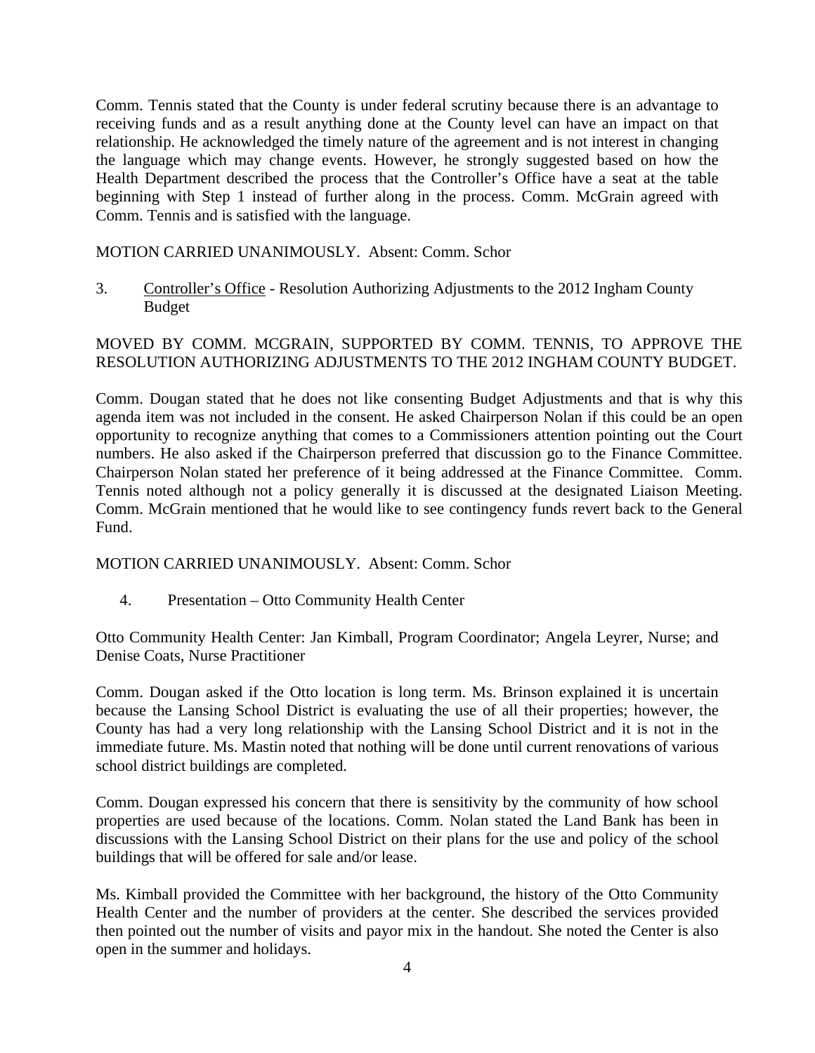Comm. Tennis stated that the County is under federal scrutiny because there is an advantage to receiving funds and as a result anything done at the County level can have an impact on that relationship. He acknowledged the timely nature of the agreement and is not interest in changing the language which may change events. However, he strongly suggested based on how the Health Department described the process that the Controller's Office have a seat at the table beginning with Step 1 instead of further along in the process. Comm. McGrain agreed with Comm. Tennis and is satisfied with the language.

MOTION CARRIED UNANIMOUSLY. Absent: Comm. Schor

3. Controller's Office - Resolution Authorizing Adjustments to the 2012 Ingham County Budget

# MOVED BY COMM. MCGRAIN, SUPPORTED BY COMM. TENNIS, TO APPROVE THE RESOLUTION AUTHORIZING ADJUSTMENTS TO THE 2012 INGHAM COUNTY BUDGET.

Comm. Dougan stated that he does not like consenting Budget Adjustments and that is why this agenda item was not included in the consent. He asked Chairperson Nolan if this could be an open opportunity to recognize anything that comes to a Commissioners attention pointing out the Court numbers. He also asked if the Chairperson preferred that discussion go to the Finance Committee. Chairperson Nolan stated her preference of it being addressed at the Finance Committee. Comm. Tennis noted although not a policy generally it is discussed at the designated Liaison Meeting. Comm. McGrain mentioned that he would like to see contingency funds revert back to the General Fund.

MOTION CARRIED UNANIMOUSLY. Absent: Comm. Schor

4. Presentation – Otto Community Health Center

Otto Community Health Center: Jan Kimball, Program Coordinator; Angela Leyrer, Nurse; and Denise Coats, Nurse Practitioner

Comm. Dougan asked if the Otto location is long term. Ms. Brinson explained it is uncertain because the Lansing School District is evaluating the use of all their properties; however, the County has had a very long relationship with the Lansing School District and it is not in the immediate future. Ms. Mastin noted that nothing will be done until current renovations of various school district buildings are completed.

Comm. Dougan expressed his concern that there is sensitivity by the community of how school properties are used because of the locations. Comm. Nolan stated the Land Bank has been in discussions with the Lansing School District on their plans for the use and policy of the school buildings that will be offered for sale and/or lease.

Ms. Kimball provided the Committee with her background, the history of the Otto Community Health Center and the number of providers at the center. She described the services provided then pointed out the number of visits and payor mix in the handout. She noted the Center is also open in the summer and holidays.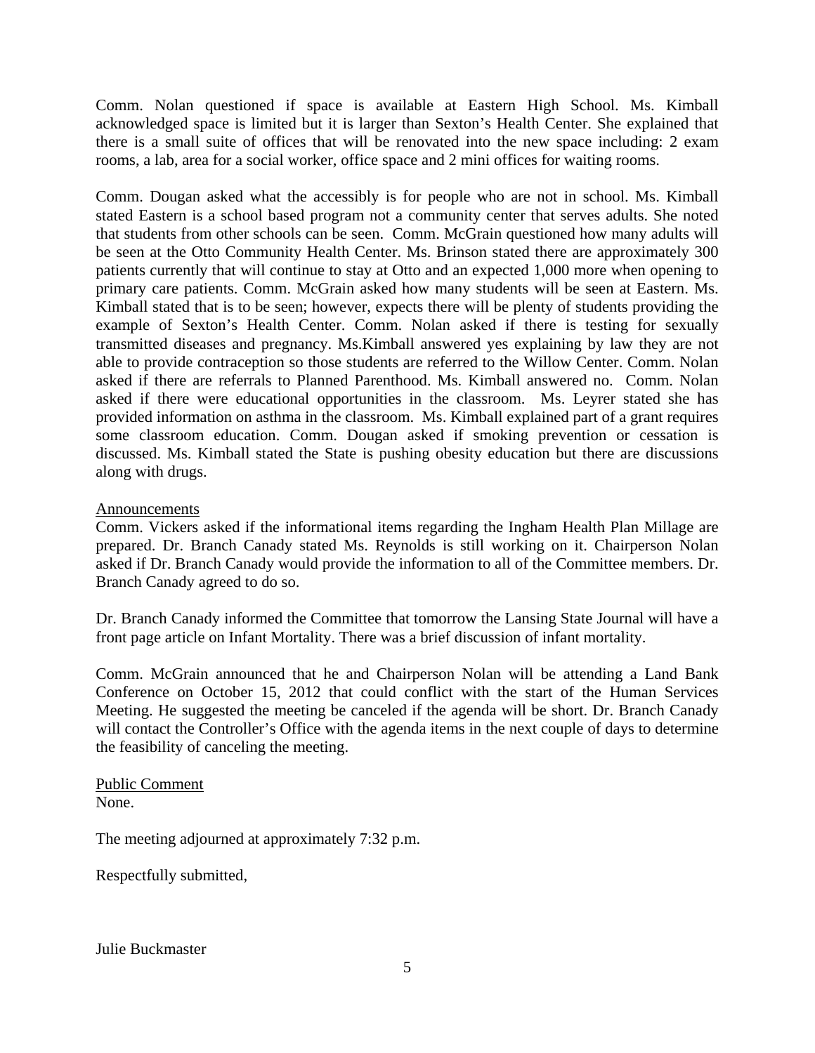Comm. Nolan questioned if space is available at Eastern High School. Ms. Kimball acknowledged space is limited but it is larger than Sexton's Health Center. She explained that there is a small suite of offices that will be renovated into the new space including: 2 exam rooms, a lab, area for a social worker, office space and 2 mini offices for waiting rooms.

Comm. Dougan asked what the accessibly is for people who are not in school. Ms. Kimball stated Eastern is a school based program not a community center that serves adults. She noted that students from other schools can be seen. Comm. McGrain questioned how many adults will be seen at the Otto Community Health Center. Ms. Brinson stated there are approximately 300 patients currently that will continue to stay at Otto and an expected 1,000 more when opening to primary care patients. Comm. McGrain asked how many students will be seen at Eastern. Ms. Kimball stated that is to be seen; however, expects there will be plenty of students providing the example of Sexton's Health Center. Comm. Nolan asked if there is testing for sexually transmitted diseases and pregnancy. Ms.Kimball answered yes explaining by law they are not able to provide contraception so those students are referred to the Willow Center. Comm. Nolan asked if there are referrals to Planned Parenthood. Ms. Kimball answered no. Comm. Nolan asked if there were educational opportunities in the classroom. Ms. Leyrer stated she has provided information on asthma in the classroom. Ms. Kimball explained part of a grant requires some classroom education. Comm. Dougan asked if smoking prevention or cessation is discussed. Ms. Kimball stated the State is pushing obesity education but there are discussions along with drugs.

#### Announcements

Comm. Vickers asked if the informational items regarding the Ingham Health Plan Millage are prepared. Dr. Branch Canady stated Ms. Reynolds is still working on it. Chairperson Nolan asked if Dr. Branch Canady would provide the information to all of the Committee members. Dr. Branch Canady agreed to do so.

Dr. Branch Canady informed the Committee that tomorrow the Lansing State Journal will have a front page article on Infant Mortality. There was a brief discussion of infant mortality.

Comm. McGrain announced that he and Chairperson Nolan will be attending a Land Bank Conference on October 15, 2012 that could conflict with the start of the Human Services Meeting. He suggested the meeting be canceled if the agenda will be short. Dr. Branch Canady will contact the Controller's Office with the agenda items in the next couple of days to determine the feasibility of canceling the meeting.

Public Comment None.

The meeting adjourned at approximately 7:32 p.m.

Respectfully submitted,

Julie Buckmaster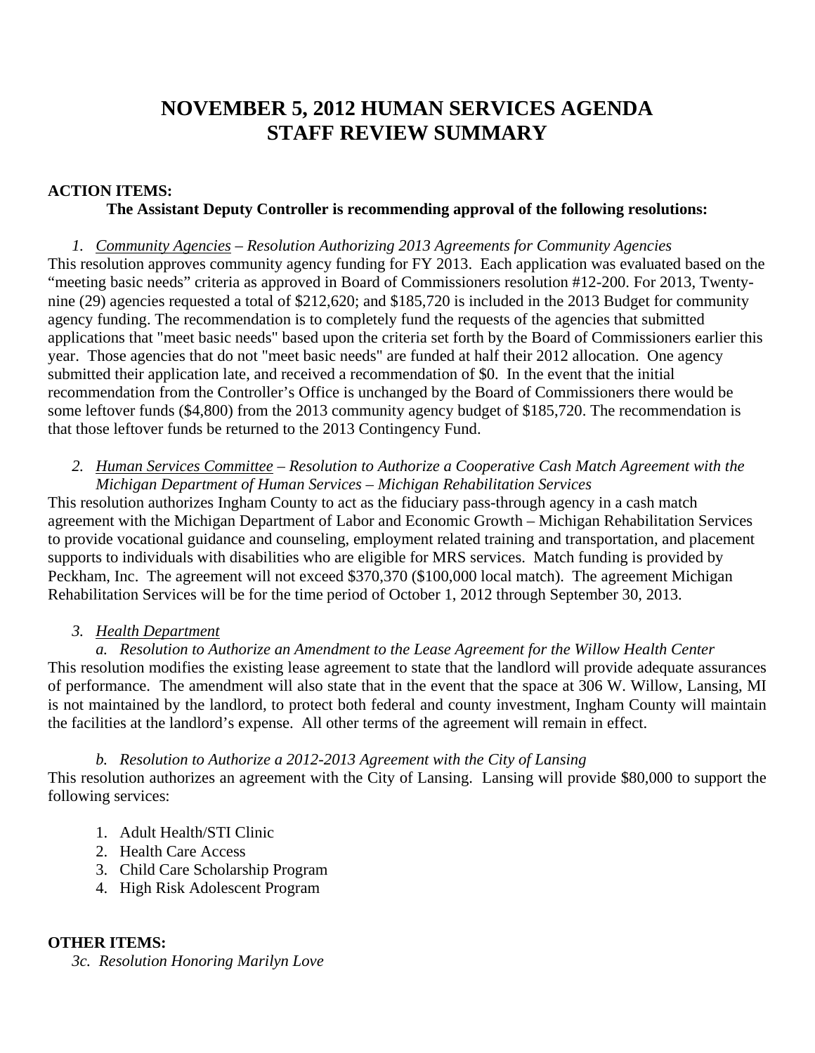# **NOVEMBER 5, 2012 HUMAN SERVICES AGENDA STAFF REVIEW SUMMARY**

## **ACTION ITEMS:**

## **The Assistant Deputy Controller is recommending approval of the following resolutions:**

*1. Community Agencies – Resolution Authorizing 2013 Agreements for Community Agencies*  This resolution approves community agency funding for FY 2013. Each application was evaluated based on the "meeting basic needs" criteria as approved in Board of Commissioners resolution #12-200. For 2013, Twentynine (29) agencies requested a total of \$212,620; and \$185,720 is included in the 2013 Budget for community agency funding. The recommendation is to completely fund the requests of the agencies that submitted applications that "meet basic needs" based upon the criteria set forth by the Board of Commissioners earlier this year. Those agencies that do not "meet basic needs" are funded at half their 2012 allocation. One agency submitted their application late, and received a recommendation of \$0. In the event that the initial recommendation from the Controller's Office is unchanged by the Board of Commissioners there would be some leftover funds (\$4,800) from the 2013 community agency budget of \$185,720. The recommendation is that those leftover funds be returned to the 2013 Contingency Fund.

## *2. Human Services Committee – Resolution to Authorize a Cooperative Cash Match Agreement with the Michigan Department of Human Services – Michigan Rehabilitation Services*

This resolution authorizes Ingham County to act as the fiduciary pass-through agency in a cash match agreement with the Michigan Department of Labor and Economic Growth – Michigan Rehabilitation Services to provide vocational guidance and counseling, employment related training and transportation, and placement supports to individuals with disabilities who are eligible for MRS services. Match funding is provided by Peckham, Inc. The agreement will not exceed \$370,370 (\$100,000 local match). The agreement Michigan Rehabilitation Services will be for the time period of October 1, 2012 through September 30, 2013.

#### *3. Health Department*

*a. Resolution to Authorize an Amendment to the Lease Agreement for the Willow Health Center*  This resolution modifies the existing lease agreement to state that the landlord will provide adequate assurances of performance. The amendment will also state that in the event that the space at 306 W. Willow, Lansing, MI is not maintained by the landlord, to protect both federal and county investment, Ingham County will maintain the facilities at the landlord's expense. All other terms of the agreement will remain in effect.

#### *b. Resolution to Authorize a 2012-2013 Agreement with the City of Lansing*

This resolution authorizes an agreement with the City of Lansing. Lansing will provide \$80,000 to support the following services:

- 1. Adult Health/STI Clinic
- 2. Health Care Access
- 3. Child Care Scholarship Program
- 4. High Risk Adolescent Program

#### **OTHER ITEMS:**

*3c. Resolution Honoring Marilyn Love*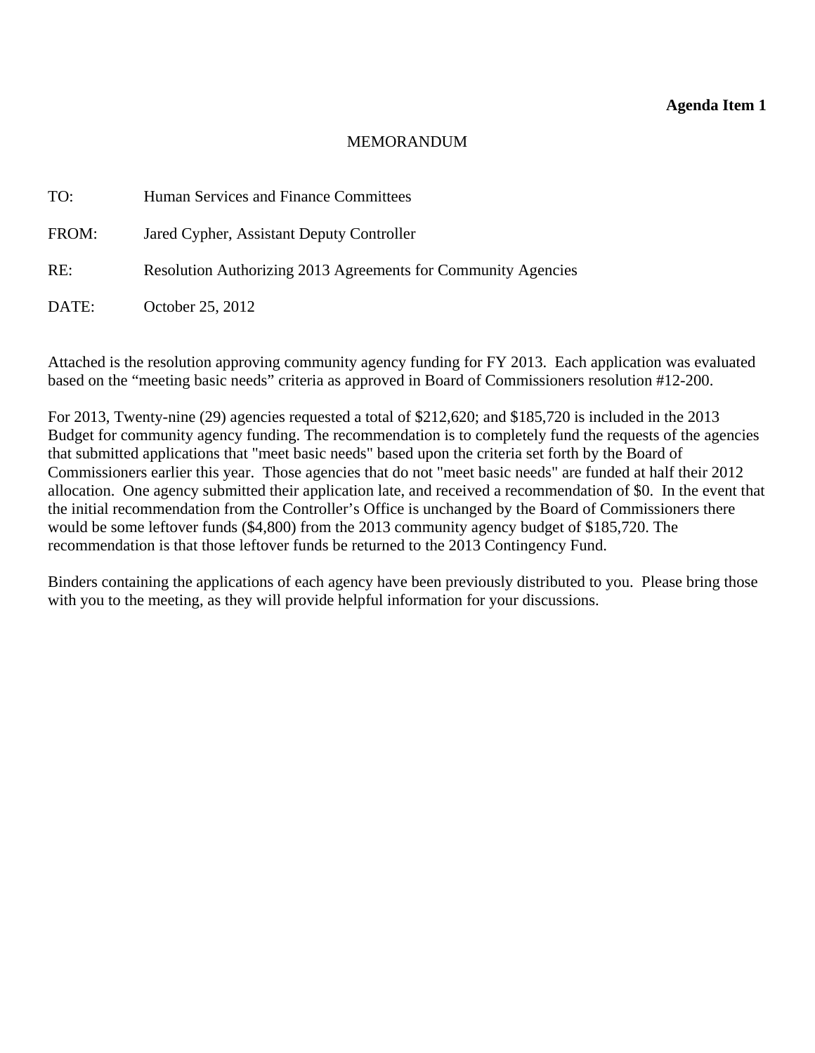## **Agenda Item 1**

## MEMORANDUM

<span id="page-7-0"></span>

| TO:   | Human Services and Finance Committees                         |
|-------|---------------------------------------------------------------|
| FROM: | Jared Cypher, Assistant Deputy Controller                     |
| RE:   | Resolution Authorizing 2013 Agreements for Community Agencies |
| DATE: | October 25, 2012                                              |

Attached is the resolution approving community agency funding for FY 2013. Each application was evaluated based on the "meeting basic needs" criteria as approved in Board of Commissioners resolution #12-200.

For 2013, Twenty-nine (29) agencies requested a total of \$212,620; and \$185,720 is included in the 2013 Budget for community agency funding. The recommendation is to completely fund the requests of the agencies that submitted applications that "meet basic needs" based upon the criteria set forth by the Board of Commissioners earlier this year. Those agencies that do not "meet basic needs" are funded at half their 2012 allocation. One agency submitted their application late, and received a recommendation of \$0. In the event that the initial recommendation from the Controller's Office is unchanged by the Board of Commissioners there would be some leftover funds (\$4,800) from the 2013 community agency budget of \$185,720. The recommendation is that those leftover funds be returned to the 2013 Contingency Fund.

Binders containing the applications of each agency have been previously distributed to you. Please bring those with you to the meeting, as they will provide helpful information for your discussions.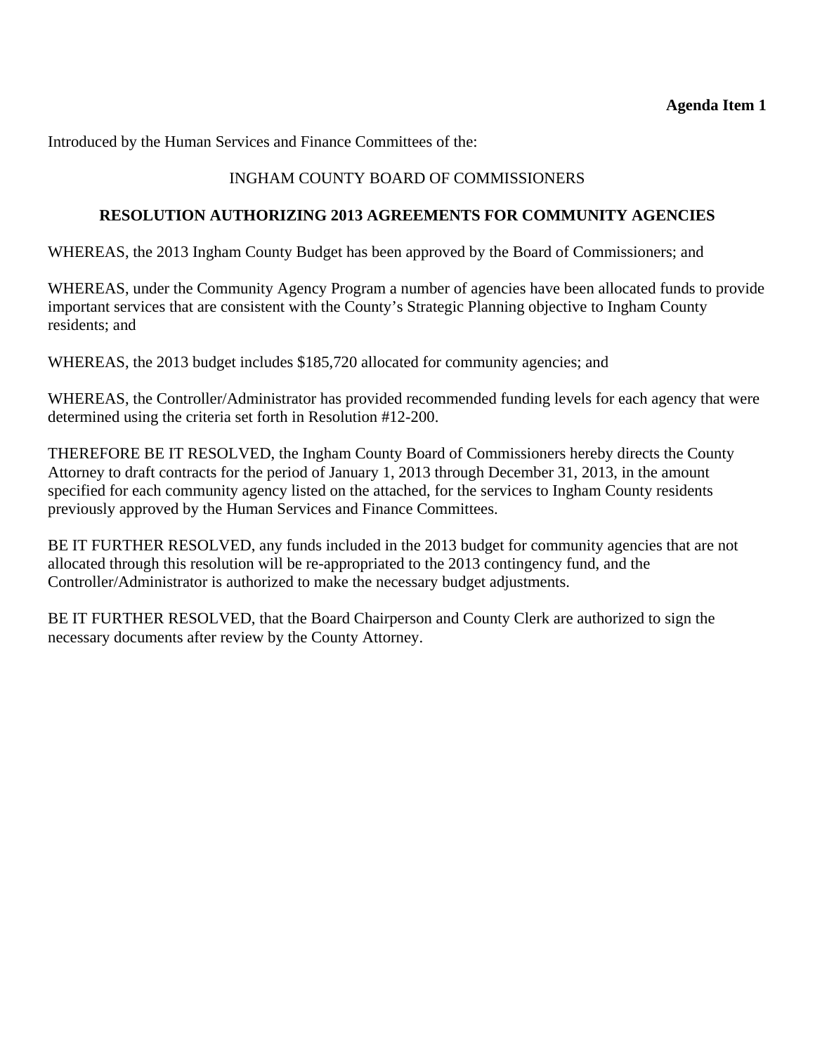# **Agenda Item 1**

Introduced by the Human Services and Finance Committees of the:

# INGHAM COUNTY BOARD OF COMMISSIONERS

# **RESOLUTION AUTHORIZING 2013 AGREEMENTS FOR COMMUNITY AGENCIES**

WHEREAS, the 2013 Ingham County Budget has been approved by the Board of Commissioners; and

WHEREAS, under the Community Agency Program a number of agencies have been allocated funds to provide important services that are consistent with the County's Strategic Planning objective to Ingham County residents; and

WHEREAS, the 2013 budget includes \$185,720 allocated for community agencies; and

WHEREAS, the Controller/Administrator has provided recommended funding levels for each agency that were determined using the criteria set forth in Resolution #12-200.

THEREFORE BE IT RESOLVED, the Ingham County Board of Commissioners hereby directs the County Attorney to draft contracts for the period of January 1, 2013 through December 31, 2013, in the amount specified for each community agency listed on the attached, for the services to Ingham County residents previously approved by the Human Services and Finance Committees.

BE IT FURTHER RESOLVED, any funds included in the 2013 budget for community agencies that are not allocated through this resolution will be re-appropriated to the 2013 contingency fund, and the Controller/Administrator is authorized to make the necessary budget adjustments.

BE IT FURTHER RESOLVED, that the Board Chairperson and County Clerk are authorized to sign the necessary documents after review by the County Attorney.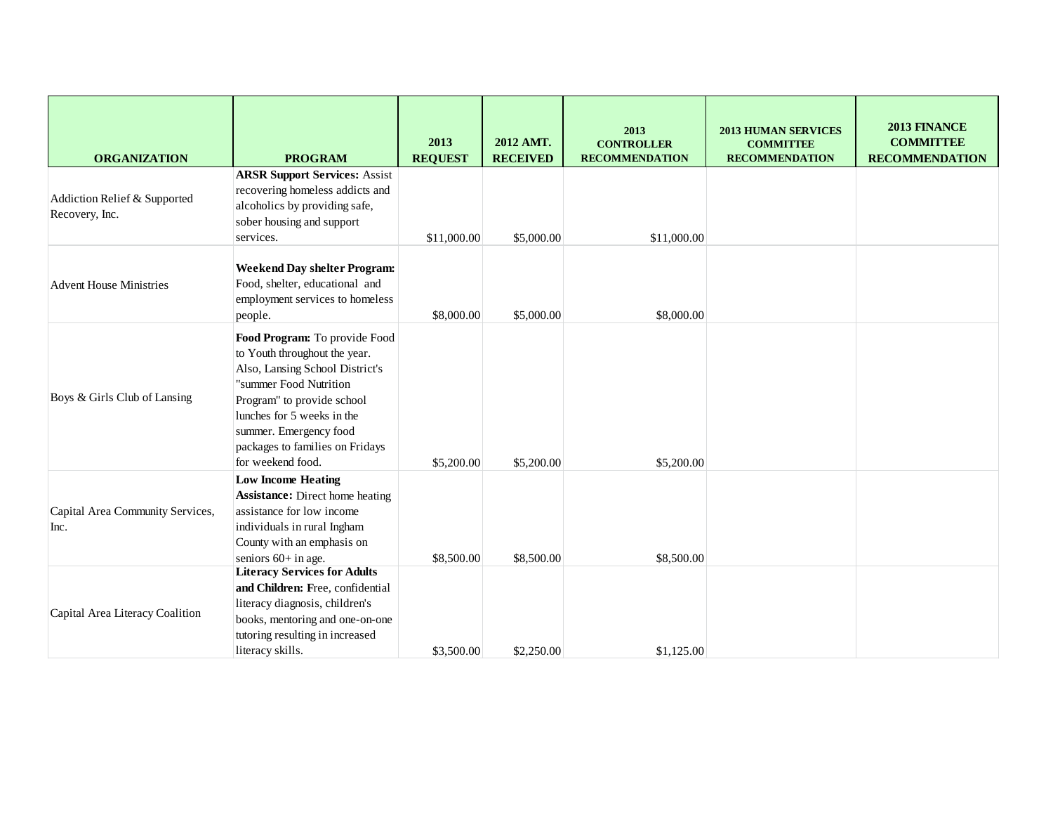| <b>ORGANIZATION</b>                            | <b>PROGRAM</b>                                                                                                                                                                                                                                                            | 2013<br><b>REQUEST</b> | 2012 AMT.<br><b>RECEIVED</b> | 2013<br><b>CONTROLLER</b><br><b>RECOMMENDATION</b> | <b>2013 HUMAN SERVICES</b><br><b>COMMITTEE</b><br><b>RECOMMENDATION</b> | 2013 FINANCE<br><b>COMMITTEE</b><br><b>RECOMMENDATION</b> |
|------------------------------------------------|---------------------------------------------------------------------------------------------------------------------------------------------------------------------------------------------------------------------------------------------------------------------------|------------------------|------------------------------|----------------------------------------------------|-------------------------------------------------------------------------|-----------------------------------------------------------|
| Addiction Relief & Supported<br>Recovery, Inc. | <b>ARSR Support Services: Assist</b><br>recovering homeless addicts and<br>alcoholics by providing safe,<br>sober housing and support<br>services.                                                                                                                        | \$11,000.00            | \$5,000.00                   | \$11,000.00                                        |                                                                         |                                                           |
| <b>Advent House Ministries</b>                 | <b>Weekend Day shelter Program:</b><br>Food, shelter, educational and<br>employment services to homeless<br>people.                                                                                                                                                       | \$8,000.00             | \$5,000.00                   | \$8,000.00                                         |                                                                         |                                                           |
| Boys & Girls Club of Lansing                   | Food Program: To provide Food<br>to Youth throughout the year.<br>Also, Lansing School District's<br>"summer Food Nutrition<br>Program" to provide school<br>lunches for 5 weeks in the<br>summer. Emergency food<br>packages to families on Fridays<br>for weekend food. | \$5,200.00             | \$5,200.00                   | \$5,200.00                                         |                                                                         |                                                           |
| Capital Area Community Services,<br>Inc.       | <b>Low Income Heating</b><br><b>Assistance:</b> Direct home heating<br>assistance for low income<br>individuals in rural Ingham<br>County with an emphasis on<br>seniors 60+ in age.                                                                                      | \$8,500.00             | \$8,500.00                   | \$8,500.00                                         |                                                                         |                                                           |
| Capital Area Literacy Coalition                | <b>Literacy Services for Adults</b><br>and Children: Free, confidential<br>literacy diagnosis, children's<br>books, mentoring and one-on-one<br>tutoring resulting in increased<br>literacy skills.                                                                       | \$3,500.00             | \$2,250.00                   | \$1,125.00                                         |                                                                         |                                                           |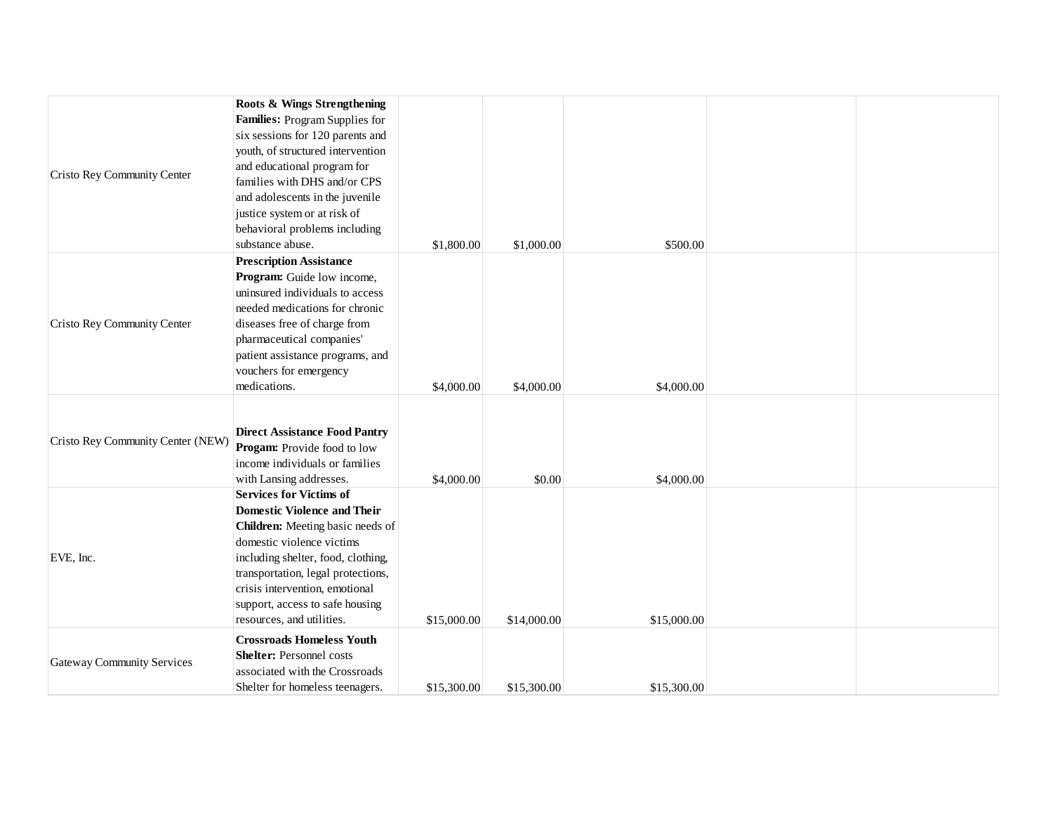|                                   | Roots & Wings Strengthening          |             |             |             |  |
|-----------------------------------|--------------------------------------|-------------|-------------|-------------|--|
|                                   | Families: Program Supplies for       |             |             |             |  |
|                                   | six sessions for 120 parents and     |             |             |             |  |
|                                   | youth, of structured intervention    |             |             |             |  |
| Cristo Rey Community Center       | and educational program for          |             |             |             |  |
|                                   | families with DHS and/or CPS         |             |             |             |  |
|                                   | and adolescents in the juvenile      |             |             |             |  |
|                                   | justice system or at risk of         |             |             |             |  |
|                                   | behavioral problems including        |             |             |             |  |
|                                   | substance abuse.                     | \$1,800.00  | \$1,000.00  | \$500.00    |  |
|                                   | <b>Prescription Assistance</b>       |             |             |             |  |
|                                   | Program: Guide low income,           |             |             |             |  |
|                                   | uninsured individuals to access      |             |             |             |  |
|                                   | needed medications for chronic       |             |             |             |  |
| Cristo Rey Community Center       | diseases free of charge from         |             |             |             |  |
|                                   | pharmaceutical companies'            |             |             |             |  |
|                                   | patient assistance programs, and     |             |             |             |  |
|                                   | vouchers for emergency               |             |             |             |  |
|                                   | medications.                         | \$4,000.00  | \$4,000.00  | \$4,000.00  |  |
|                                   |                                      |             |             |             |  |
|                                   |                                      |             |             |             |  |
| Cristo Rey Community Center (NEW) | <b>Direct Assistance Food Pantry</b> |             |             |             |  |
|                                   | <b>Progam:</b> Provide food to low   |             |             |             |  |
|                                   | income individuals or families       |             |             |             |  |
|                                   | with Lansing addresses.              | \$4,000.00  | \$0.00      | \$4,000.00  |  |
|                                   | <b>Services for Victims of</b>       |             |             |             |  |
|                                   | <b>Domestic Violence and Their</b>   |             |             |             |  |
|                                   | Children: Meeting basic needs of     |             |             |             |  |
|                                   | domestic violence victims            |             |             |             |  |
| EVE, Inc.                         | including shelter, food, clothing,   |             |             |             |  |
|                                   | transportation, legal protections,   |             |             |             |  |
|                                   | crisis intervention, emotional       |             |             |             |  |
|                                   | support, access to safe housing      |             |             |             |  |
|                                   | resources, and utilities.            | \$15,000.00 | \$14,000.00 | \$15,000.00 |  |
|                                   | <b>Crossroads Homeless Youth</b>     |             |             |             |  |
| <b>Gateway Community Services</b> | <b>Shelter:</b> Personnel costs      |             |             |             |  |
|                                   | associated with the Crossroads       |             |             |             |  |
|                                   | Shelter for homeless teenagers.      | \$15,300.00 | \$15,300.00 | \$15,300.00 |  |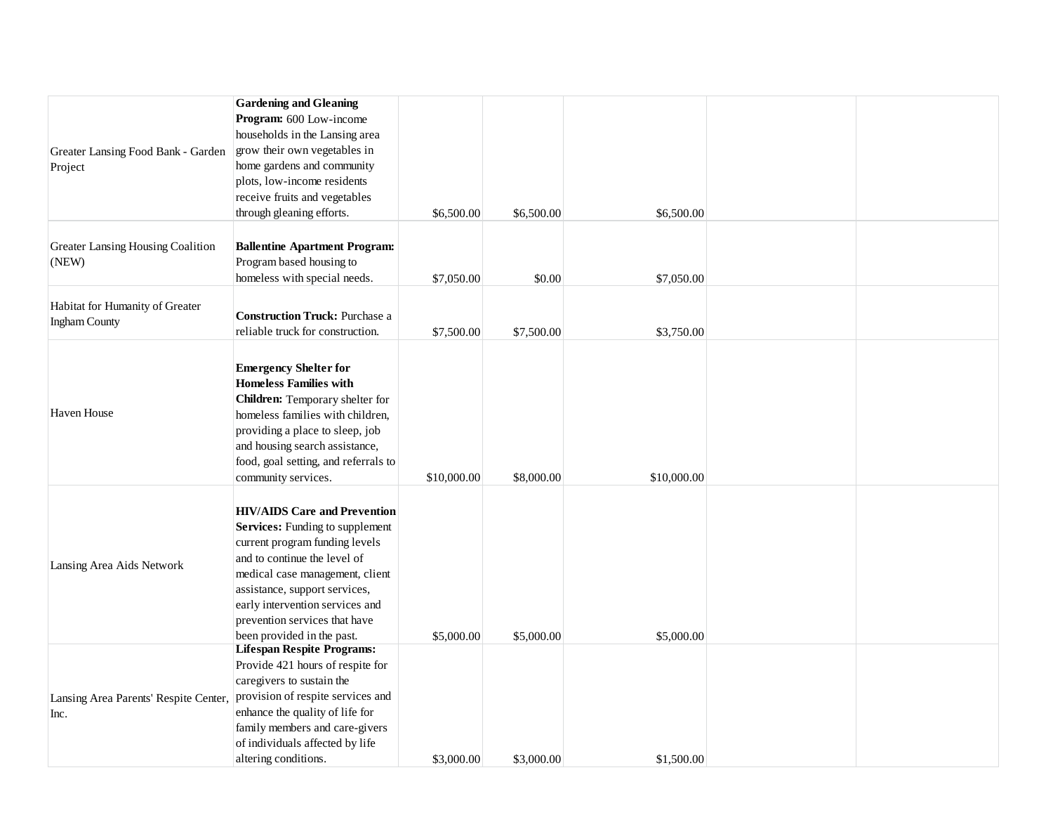| Greater Lansing Food Bank - Garden<br>Project           | <b>Gardening and Gleaning</b><br>Program: 600 Low-income<br>households in the Lansing area<br>grow their own vegetables in<br>home gardens and community<br>plots, low-income residents<br>receive fruits and vegetables<br>through gleaning efforts.                                                                 | \$6,500.00  | \$6,500.00 | \$6,500.00  |  |
|---------------------------------------------------------|-----------------------------------------------------------------------------------------------------------------------------------------------------------------------------------------------------------------------------------------------------------------------------------------------------------------------|-------------|------------|-------------|--|
| Greater Lansing Housing Coalition<br>(NEW)              | <b>Ballentine Apartment Program:</b><br>Program based housing to<br>homeless with special needs.                                                                                                                                                                                                                      | \$7,050.00  | \$0.00     | \$7,050.00  |  |
| Habitat for Humanity of Greater<br><b>Ingham County</b> | <b>Construction Truck: Purchase a</b><br>reliable truck for construction.                                                                                                                                                                                                                                             | \$7,500.00  | \$7,500.00 | \$3,750.00  |  |
| Haven House                                             | <b>Emergency Shelter for</b><br><b>Homeless Families with</b><br>Children: Temporary shelter for<br>homeless families with children,<br>providing a place to sleep, job<br>and housing search assistance,<br>food, goal setting, and referrals to<br>community services.                                              | \$10,000.00 | \$8,000.00 | \$10,000.00 |  |
| Lansing Area Aids Network                               | <b>HIV/AIDS</b> Care and Prevention<br><b>Services:</b> Funding to supplement<br>current program funding levels<br>and to continue the level of<br>medical case management, client<br>assistance, support services,<br>early intervention services and<br>prevention services that have<br>been provided in the past. | \$5,000.00  | \$5,000.00 | \$5,000.00  |  |
| Lansing Area Parents' Respite Center,<br>Inc.           | <b>Lifespan Respite Programs:</b><br>Provide 421 hours of respite for<br>caregivers to sustain the<br>provision of respite services and<br>enhance the quality of life for<br>family members and care-givers<br>of individuals affected by life<br>altering conditions.                                               | \$3,000.00  | \$3,000.00 | \$1,500.00  |  |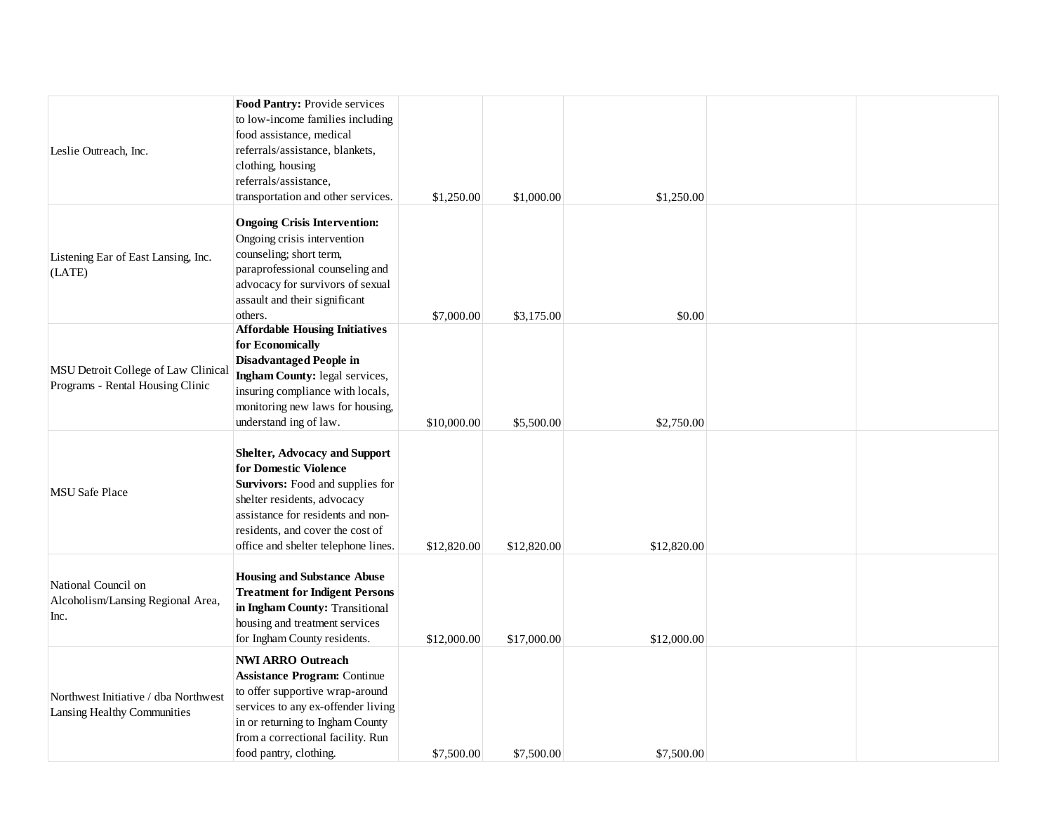|                                      | Food Pantry: Provide services                    |             |             |             |  |
|--------------------------------------|--------------------------------------------------|-------------|-------------|-------------|--|
|                                      | to low-income families including                 |             |             |             |  |
|                                      | food assistance, medical                         |             |             |             |  |
| Leslie Outreach, Inc.                | referrals/assistance, blankets,                  |             |             |             |  |
|                                      | clothing, housing                                |             |             |             |  |
|                                      | referrals/assistance,                            |             |             |             |  |
|                                      | transportation and other services.               | \$1,250.00  | \$1,000.00  | \$1,250.00  |  |
|                                      |                                                  |             |             |             |  |
|                                      | <b>Ongoing Crisis Intervention:</b>              |             |             |             |  |
|                                      | Ongoing crisis intervention                      |             |             |             |  |
| Listening Ear of East Lansing, Inc.  | counseling; short term,                          |             |             |             |  |
| (LATE)                               | paraprofessional counseling and                  |             |             |             |  |
|                                      | advocacy for survivors of sexual                 |             |             |             |  |
|                                      | assault and their significant                    |             |             |             |  |
|                                      | others.<br><b>Affordable Housing Initiatives</b> | \$7,000.00  | \$3,175.00  | \$0.00      |  |
|                                      | for Economically                                 |             |             |             |  |
|                                      | <b>Disadvantaged People in</b>                   |             |             |             |  |
| MSU Detroit College of Law Clinical  | Ingham County: legal services,                   |             |             |             |  |
| Programs - Rental Housing Clinic     | insuring compliance with locals,                 |             |             |             |  |
|                                      | monitoring new laws for housing,                 |             |             |             |  |
|                                      | understand ing of law.                           | \$10,000.00 | \$5,500.00  | \$2,750.00  |  |
|                                      |                                                  |             |             |             |  |
|                                      | <b>Shelter, Advocacy and Support</b>             |             |             |             |  |
|                                      | for Domestic Violence                            |             |             |             |  |
|                                      | Survivors: Food and supplies for                 |             |             |             |  |
| <b>MSU</b> Safe Place                | shelter residents, advocacy                      |             |             |             |  |
|                                      | assistance for residents and non-                |             |             |             |  |
|                                      | residents, and cover the cost of                 |             |             |             |  |
|                                      | office and shelter telephone lines.              | \$12,820.00 | \$12,820.00 | \$12,820.00 |  |
|                                      |                                                  |             |             |             |  |
|                                      | <b>Housing and Substance Abuse</b>               |             |             |             |  |
| National Council on                  | <b>Treatment for Indigent Persons</b>            |             |             |             |  |
| Alcoholism/Lansing Regional Area,    | in Ingham County: Transitional                   |             |             |             |  |
| Inc.                                 | housing and treatment services                   |             |             |             |  |
|                                      | for Ingham County residents.                     | \$12,000.00 | \$17,000.00 | \$12,000.00 |  |
|                                      | <b>NWI ARRO Outreach</b>                         |             |             |             |  |
|                                      | <b>Assistance Program: Continue</b>              |             |             |             |  |
|                                      | to offer supportive wrap-around                  |             |             |             |  |
| Northwest Initiative / dba Northwest | services to any ex-offender living               |             |             |             |  |
| Lansing Healthy Communities          | in or returning to Ingham County                 |             |             |             |  |
|                                      | from a correctional facility. Run                |             |             |             |  |
|                                      | food pantry, clothing.                           | \$7,500.00  | \$7,500.00  | \$7,500.00  |  |
|                                      |                                                  |             |             |             |  |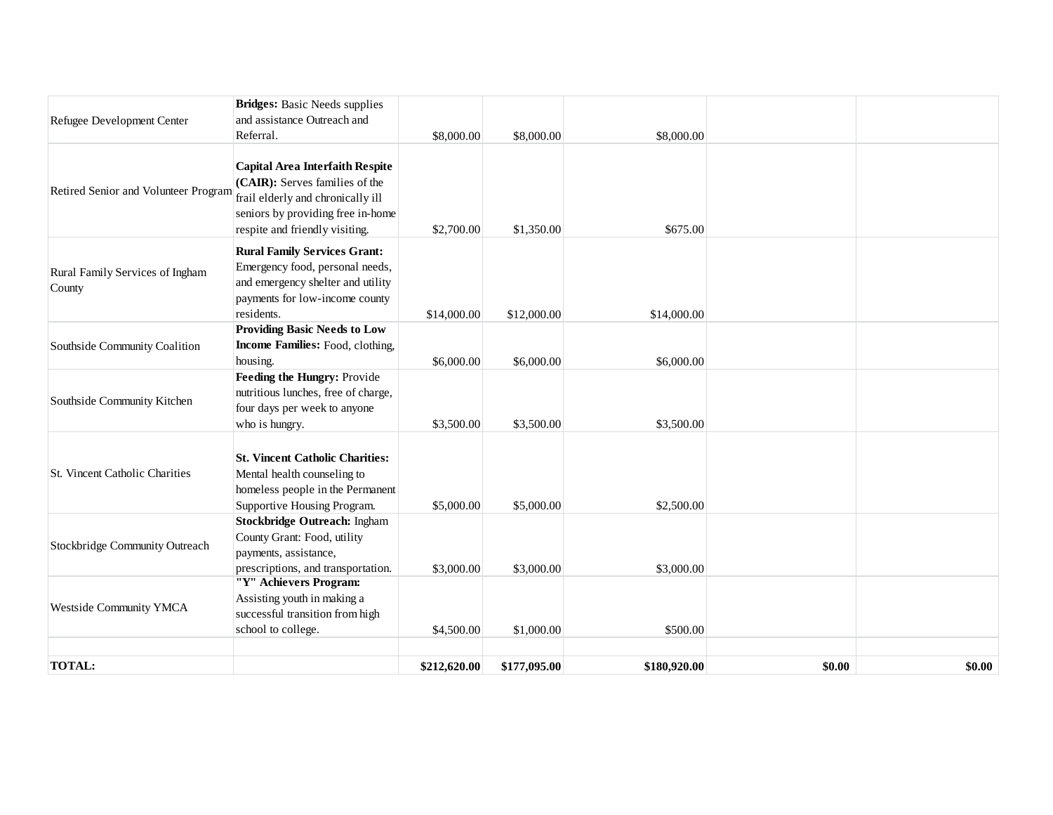|                                           | <b>Bridges:</b> Basic Needs supplies                                                                                                                                                 |              |              |              |        |        |
|-------------------------------------------|--------------------------------------------------------------------------------------------------------------------------------------------------------------------------------------|--------------|--------------|--------------|--------|--------|
| Refugee Development Center                | and assistance Outreach and                                                                                                                                                          |              |              |              |        |        |
|                                           | Referral.                                                                                                                                                                            | \$8,000.00   | \$8,000.00   | \$8,000.00   |        |        |
| Retired Senior and Volunteer Program      | <b>Capital Area Interfaith Respite</b><br>(CAIR): Serves families of the<br>frail elderly and chronically ill<br>seniors by providing free in-home<br>respite and friendly visiting. | \$2,700.00   | \$1,350.00   | \$675.00     |        |        |
| Rural Family Services of Ingham<br>County | <b>Rural Family Services Grant:</b><br>Emergency food, personal needs,<br>and emergency shelter and utility<br>payments for low-income county<br>residents.                          | \$14,000.00  | \$12,000.00  | \$14,000.00  |        |        |
| Southside Community Coalition             | <b>Providing Basic Needs to Low</b><br>Income Families: Food, clothing,<br>housing.                                                                                                  | \$6,000.00   | \$6,000.00   | \$6,000.00   |        |        |
| Southside Community Kitchen               | Feeding the Hungry: Provide<br>nutritious lunches, free of charge,<br>four days per week to anyone<br>who is hungry.                                                                 | \$3,500.00   | \$3,500.00   | \$3,500.00   |        |        |
| <b>St. Vincent Catholic Charities</b>     | <b>St. Vincent Catholic Charities:</b><br>Mental health counseling to<br>homeless people in the Permanent<br>Supportive Housing Program.                                             | \$5,000.00   | \$5,000.00   | \$2,500.00   |        |        |
| Stockbridge Community Outreach            | <b>Stockbridge Outreach: Ingham</b><br>County Grant: Food, utility<br>payments, assistance,<br>prescriptions, and transportation.                                                    | \$3,000.00   | \$3,000.00   | \$3,000.00   |        |        |
| <b>Westside Community YMCA</b>            | "Y" Achievers Program:<br>Assisting youth in making a<br>successful transition from high<br>school to college.                                                                       | \$4,500.00   | \$1,000.00   | \$500.00     |        |        |
| <b>TOTAL:</b>                             |                                                                                                                                                                                      | \$212,620.00 | \$177,095.00 | \$180,920.00 | \$0.00 | \$0.00 |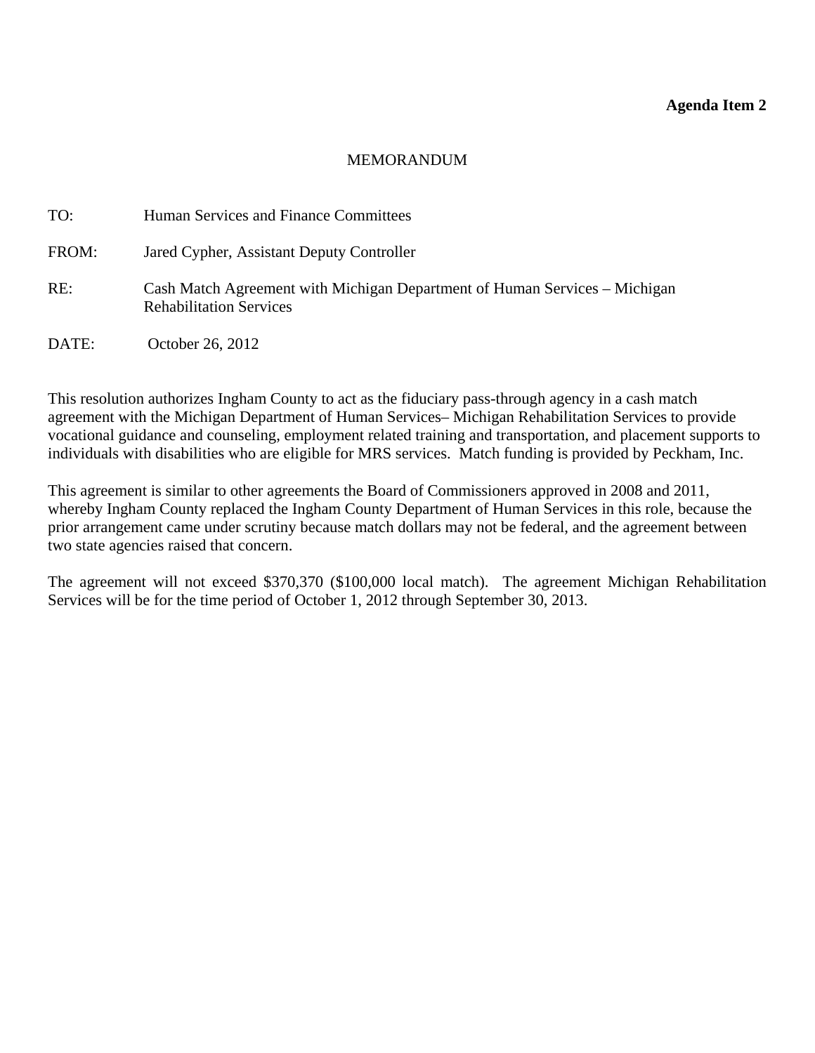## **Agenda Item 2**

### MEMORANDUM

<span id="page-14-0"></span>

| TO:   | Human Services and Finance Committees                                                                        |
|-------|--------------------------------------------------------------------------------------------------------------|
| FROM: | Jared Cypher, Assistant Deputy Controller                                                                    |
| RE:   | Cash Match Agreement with Michigan Department of Human Services – Michigan<br><b>Rehabilitation Services</b> |
| DATE: | October 26, 2012                                                                                             |

This resolution authorizes Ingham County to act as the fiduciary pass-through agency in a cash match agreement with the Michigan Department of Human Services– Michigan Rehabilitation Services to provide vocational guidance and counseling, employment related training and transportation, and placement supports to individuals with disabilities who are eligible for MRS services. Match funding is provided by Peckham, Inc.

This agreement is similar to other agreements the Board of Commissioners approved in 2008 and 2011, whereby Ingham County replaced the Ingham County Department of Human Services in this role, because the prior arrangement came under scrutiny because match dollars may not be federal, and the agreement between two state agencies raised that concern.

The agreement will not exceed \$370,370 (\$100,000 local match). The agreement Michigan Rehabilitation Services will be for the time period of October 1, 2012 through September 30, 2013.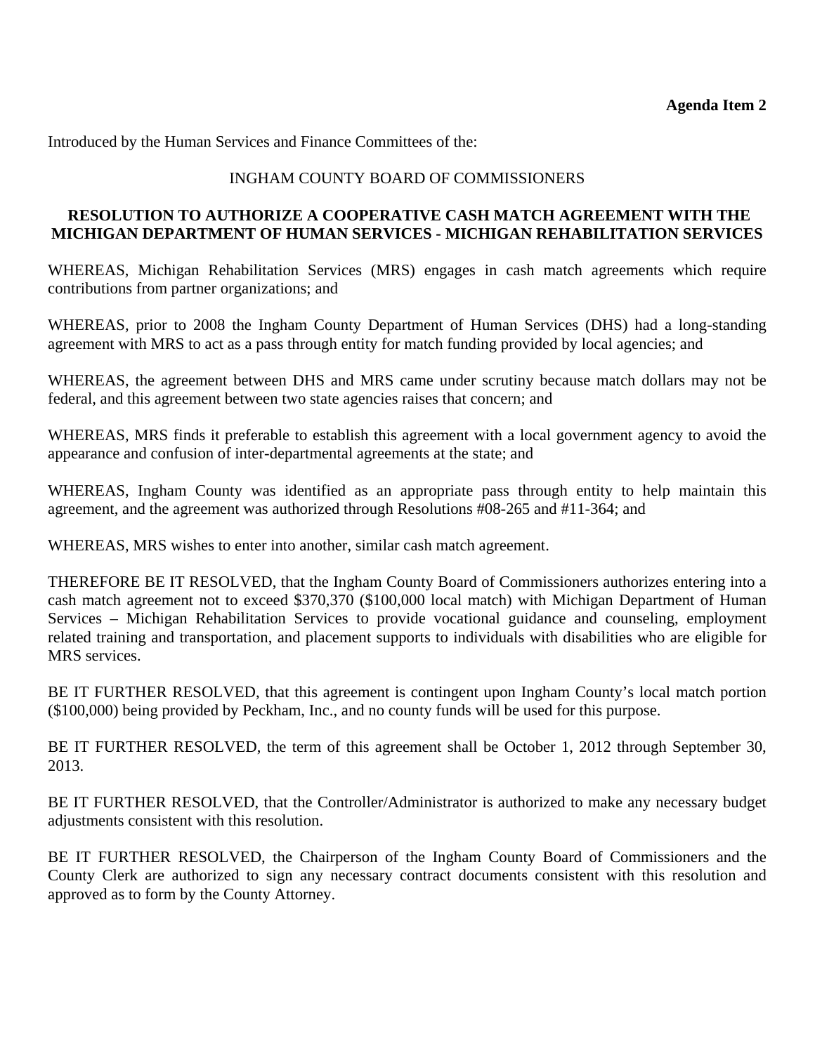Introduced by the Human Services and Finance Committees of the:

# INGHAM COUNTY BOARD OF COMMISSIONERS

# **RESOLUTION TO AUTHORIZE A COOPERATIVE CASH MATCH AGREEMENT WITH THE MICHIGAN DEPARTMENT OF HUMAN SERVICES - MICHIGAN REHABILITATION SERVICES**

WHEREAS, Michigan Rehabilitation Services (MRS) engages in cash match agreements which require contributions from partner organizations; and

WHEREAS, prior to 2008 the Ingham County Department of Human Services (DHS) had a long-standing agreement with MRS to act as a pass through entity for match funding provided by local agencies; and

WHEREAS, the agreement between DHS and MRS came under scrutiny because match dollars may not be federal, and this agreement between two state agencies raises that concern; and

WHEREAS, MRS finds it preferable to establish this agreement with a local government agency to avoid the appearance and confusion of inter-departmental agreements at the state; and

WHEREAS, Ingham County was identified as an appropriate pass through entity to help maintain this agreement, and the agreement was authorized through Resolutions #08-265 and #11-364; and

WHEREAS, MRS wishes to enter into another, similar cash match agreement.

THEREFORE BE IT RESOLVED, that the Ingham County Board of Commissioners authorizes entering into a cash match agreement not to exceed \$370,370 (\$100,000 local match) with Michigan Department of Human Services – Michigan Rehabilitation Services to provide vocational guidance and counseling, employment related training and transportation, and placement supports to individuals with disabilities who are eligible for MRS services.

BE IT FURTHER RESOLVED, that this agreement is contingent upon Ingham County's local match portion (\$100,000) being provided by Peckham, Inc., and no county funds will be used for this purpose.

BE IT FURTHER RESOLVED, the term of this agreement shall be October 1, 2012 through September 30, 2013.

BE IT FURTHER RESOLVED, that the Controller/Administrator is authorized to make any necessary budget adjustments consistent with this resolution.

BE IT FURTHER RESOLVED, the Chairperson of the Ingham County Board of Commissioners and the County Clerk are authorized to sign any necessary contract documents consistent with this resolution and approved as to form by the County Attorney.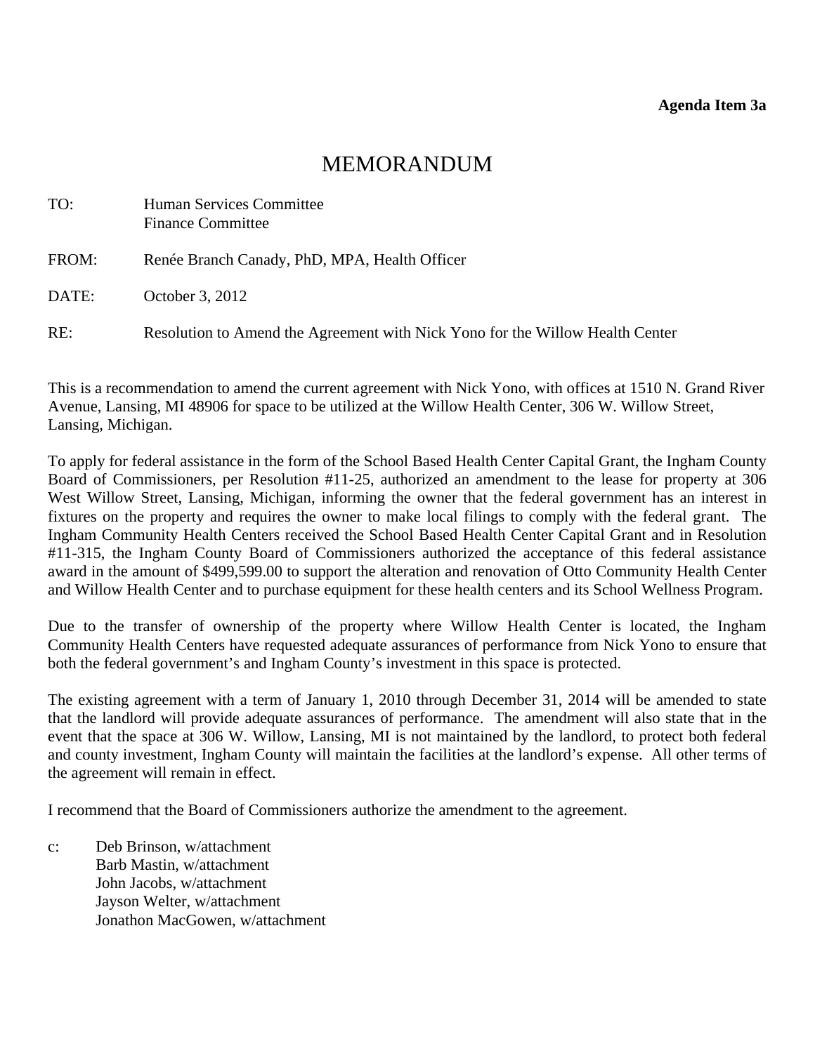# MEMORANDUM

<span id="page-16-0"></span>

| TO:   | Human Services Committee<br><b>Finance Committee</b>                          |
|-------|-------------------------------------------------------------------------------|
| FROM: | Renée Branch Canady, PhD, MPA, Health Officer                                 |
| DATE: | October 3, 2012                                                               |
| RE:   | Resolution to Amend the Agreement with Nick Yono for the Willow Health Center |

This is a recommendation to amend the current agreement with Nick Yono, with offices at 1510 N. Grand River Avenue, Lansing, MI 48906 for space to be utilized at the Willow Health Center, 306 W. Willow Street, Lansing, Michigan.

To apply for federal assistance in the form of the School Based Health Center Capital Grant, the Ingham County Board of Commissioners, per Resolution #11-25, authorized an amendment to the lease for property at 306 West Willow Street, Lansing, Michigan, informing the owner that the federal government has an interest in fixtures on the property and requires the owner to make local filings to comply with the federal grant. The Ingham Community Health Centers received the School Based Health Center Capital Grant and in Resolution #11-315, the Ingham County Board of Commissioners authorized the acceptance of this federal assistance award in the amount of \$499,599.00 to support the alteration and renovation of Otto Community Health Center and Willow Health Center and to purchase equipment for these health centers and its School Wellness Program.

Due to the transfer of ownership of the property where Willow Health Center is located, the Ingham Community Health Centers have requested adequate assurances of performance from Nick Yono to ensure that both the federal government's and Ingham County's investment in this space is protected.

The existing agreement with a term of January 1, 2010 through December 31, 2014 will be amended to state that the landlord will provide adequate assurances of performance. The amendment will also state that in the event that the space at 306 W. Willow, Lansing, MI is not maintained by the landlord, to protect both federal and county investment, Ingham County will maintain the facilities at the landlord's expense. All other terms of the agreement will remain in effect.

I recommend that the Board of Commissioners authorize the amendment to the agreement.

c: Deb Brinson, w/attachment Barb Mastin, w/attachment John Jacobs, w/attachment Jayson Welter, w/attachment Jonathon MacGowen, w/attachment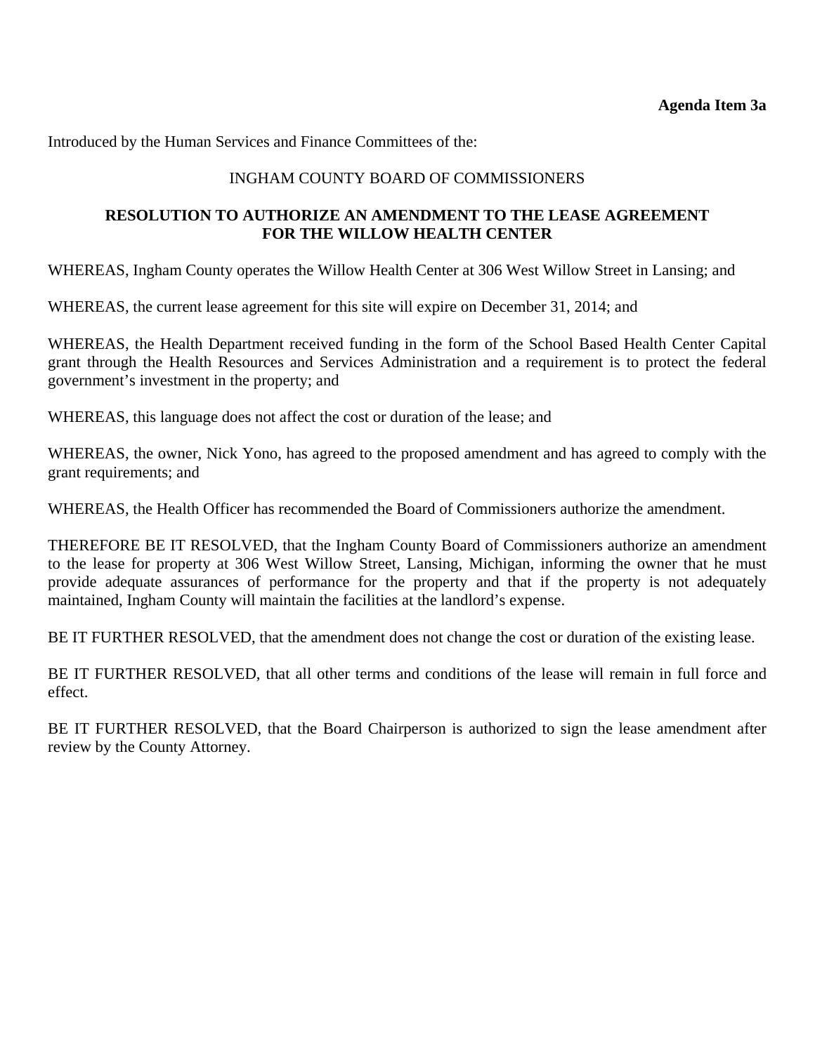Introduced by the Human Services and Finance Committees of the:

# INGHAM COUNTY BOARD OF COMMISSIONERS

# **RESOLUTION TO AUTHORIZE AN AMENDMENT TO THE LEASE AGREEMENT FOR THE WILLOW HEALTH CENTER**

WHEREAS, Ingham County operates the Willow Health Center at 306 West Willow Street in Lansing; and

WHEREAS, the current lease agreement for this site will expire on December 31, 2014; and

WHEREAS, the Health Department received funding in the form of the School Based Health Center Capital grant through the Health Resources and Services Administration and a requirement is to protect the federal government's investment in the property; and

WHEREAS, this language does not affect the cost or duration of the lease; and

WHEREAS, the owner, Nick Yono, has agreed to the proposed amendment and has agreed to comply with the grant requirements; and

WHEREAS, the Health Officer has recommended the Board of Commissioners authorize the amendment.

THEREFORE BE IT RESOLVED, that the Ingham County Board of Commissioners authorize an amendment to the lease for property at 306 West Willow Street, Lansing, Michigan, informing the owner that he must provide adequate assurances of performance for the property and that if the property is not adequately maintained, Ingham County will maintain the facilities at the landlord's expense.

BE IT FURTHER RESOLVED, that the amendment does not change the cost or duration of the existing lease.

BE IT FURTHER RESOLVED, that all other terms and conditions of the lease will remain in full force and effect.

BE IT FURTHER RESOLVED, that the Board Chairperson is authorized to sign the lease amendment after review by the County Attorney.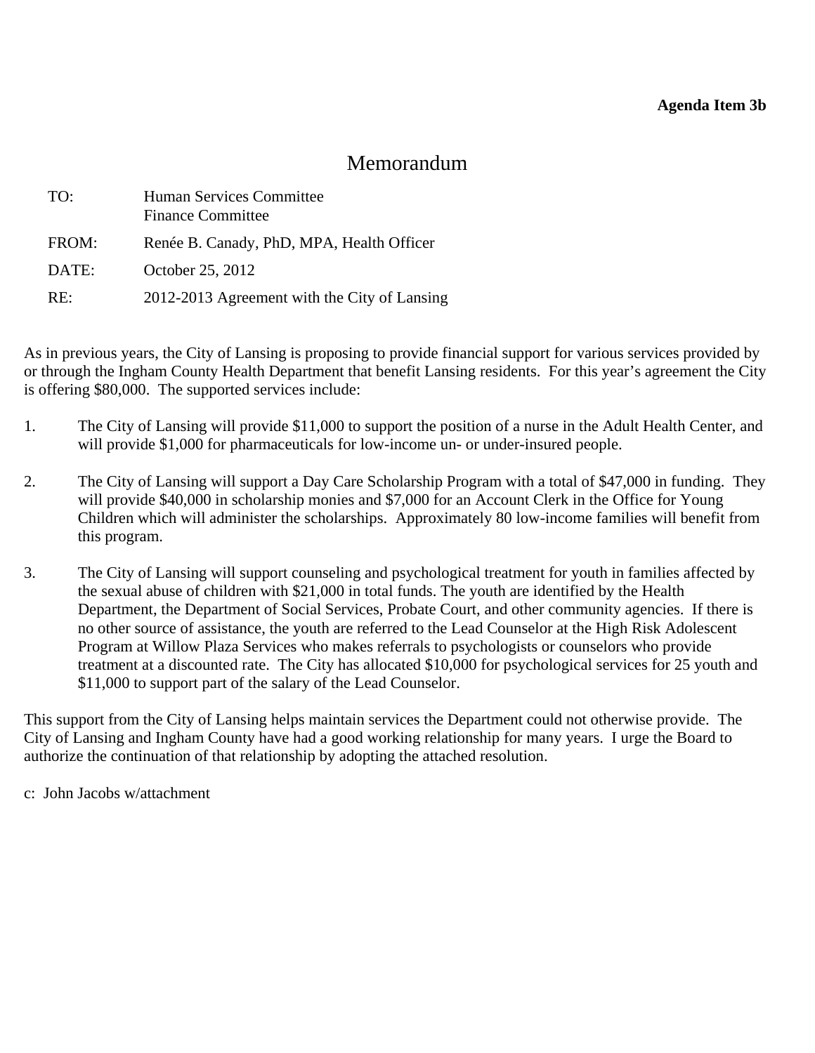# Memorandum

<span id="page-18-0"></span>

| TO:   | Human Services Committee<br><b>Finance Committee</b> |
|-------|------------------------------------------------------|
| FROM: | Renée B. Canady, PhD, MPA, Health Officer            |
| DATE: | October 25, 2012                                     |
| RE:   | 2012-2013 Agreement with the City of Lansing         |

As in previous years, the City of Lansing is proposing to provide financial support for various services provided by or through the Ingham County Health Department that benefit Lansing residents. For this year's agreement the City is offering \$80,000. The supported services include:

- 1. The City of Lansing will provide \$11,000 to support the position of a nurse in the Adult Health Center, and will provide \$1,000 for pharmaceuticals for low-income un- or under-insured people.
- 2. The City of Lansing will support a Day Care Scholarship Program with a total of \$47,000 in funding. They will provide \$40,000 in scholarship monies and \$7,000 for an Account Clerk in the Office for Young Children which will administer the scholarships. Approximately 80 low-income families will benefit from this program.
- 3. The City of Lansing will support counseling and psychological treatment for youth in families affected by the sexual abuse of children with \$21,000 in total funds. The youth are identified by the Health Department, the Department of Social Services, Probate Court, and other community agencies. If there is no other source of assistance, the youth are referred to the Lead Counselor at the High Risk Adolescent Program at Willow Plaza Services who makes referrals to psychologists or counselors who provide treatment at a discounted rate. The City has allocated \$10,000 for psychological services for 25 youth and \$11,000 to support part of the salary of the Lead Counselor.

This support from the City of Lansing helps maintain services the Department could not otherwise provide. The City of Lansing and Ingham County have had a good working relationship for many years. I urge the Board to authorize the continuation of that relationship by adopting the attached resolution.

c: John Jacobs w/attachment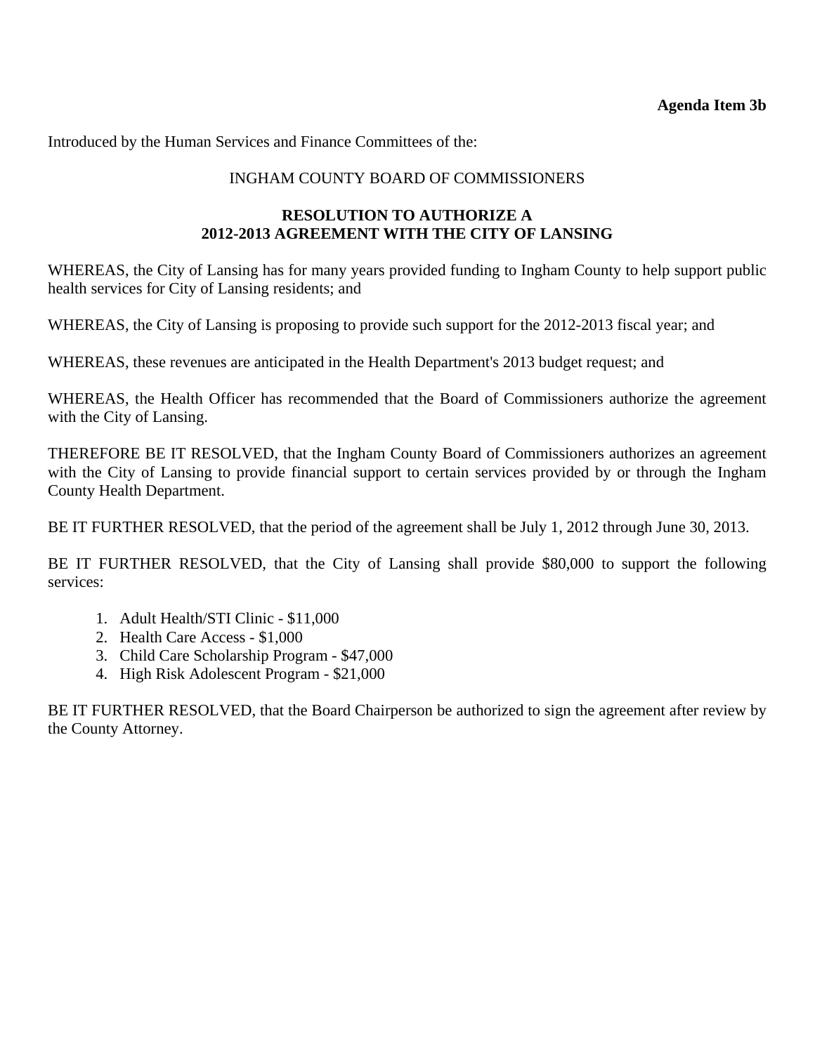# **Agenda Item 3b**

Introduced by the Human Services and Finance Committees of the:

# INGHAM COUNTY BOARD OF COMMISSIONERS

# **RESOLUTION TO AUTHORIZE A 2012-2013 AGREEMENT WITH THE CITY OF LANSING**

WHEREAS, the City of Lansing has for many years provided funding to Ingham County to help support public health services for City of Lansing residents; and

WHEREAS, the City of Lansing is proposing to provide such support for the 2012-2013 fiscal year; and

WHEREAS, these revenues are anticipated in the Health Department's 2013 budget request; and

WHEREAS, the Health Officer has recommended that the Board of Commissioners authorize the agreement with the City of Lansing.

THEREFORE BE IT RESOLVED, that the Ingham County Board of Commissioners authorizes an agreement with the City of Lansing to provide financial support to certain services provided by or through the Ingham County Health Department.

BE IT FURTHER RESOLVED, that the period of the agreement shall be July 1, 2012 through June 30, 2013.

BE IT FURTHER RESOLVED, that the City of Lansing shall provide \$80,000 to support the following services:

- 1. Adult Health/STI Clinic \$11,000
- 2. Health Care Access \$1,000
- 3. Child Care Scholarship Program \$47,000
- 4. High Risk Adolescent Program \$21,000

BE IT FURTHER RESOLVED, that the Board Chairperson be authorized to sign the agreement after review by the County Attorney.